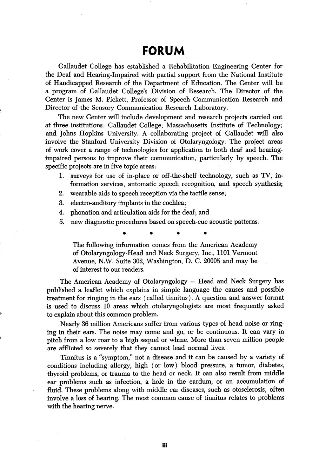## FORUM

Gallaudet College has established a Rehabilitation Engineering Center for the Deaf and Hearing-Impaired with partial support from the National Institute of Handicapped Research of the Department of Education. The Center will be a program of Callaudet College's Division of Research. The Director of the Center is James M. Pickett, Professor of Speech Communication Research and Director of the Sensory Communication Research Laboratory.

The new Center will include development and research projects carried out at three institutions: Callaudet College; Massachusetts Institute of Technology; and Johns Hopkins University. A collaborating project of Callaudet wiU also involve the Stanford University Division of Otolaryngology. The project areas of work cover a range of technologies for application to both deaf and hearingimpaired persons to improve their communication, particularly by speech. The specific projects are in five topic areas:

- 1. surveys for use of in-place or off-the-shelf technology, such as TV, in formation services, automatic speech recognition, and speech synthesis;
- 2. wearable aids to speech reception via the tactile sense;
- 3. electro-auditory implants in the cochlea;
- 4. phonation and articulation aids for the deaf; and
- 5. new diagnostic procedures based on speech-cue acoustic patterns.

The following information comes from the American Academy of Otolaryngology-Head and Neck Surgery, Inc., 1101 Vermont Avenue, N.W. Suite 302, Washington, D. C. 20005 and may be of interest to our readers.

The American Academy of Otolaryngology — Head and Neck Surgery has published a leaflet which explains in simple language the causes and possible treatment for ringing in the ears (called tinnitus). A question and answer format is used to discuss 10 areas which otolaryngologists are most frequently asked to explain about this common problem.

Nearly 36 million Americans suffer from various types of head noise or ring ing in their ears. The noise may come and go, or be continuous. It can vary in pitch from a low roar to a high sequel or whine. More than seven million people are afflicted so severely that they cannot lead normal lives.

Tinnitus is a "symptom," not a disease and it can be caused by a variety of conditions including allergy, high (or low) blood pressure, a tumor, diabetes, thyroid problems, or trauma to the head or neck. It can also result from middle ear problems such as infection, a hole in the eardum, or an accumulation of fluid. These problems along with middle ear diseases, such as otosclerosis, often involve a loss of hearing. The most common cause of tinnitus relates to problems with the hearing nerve.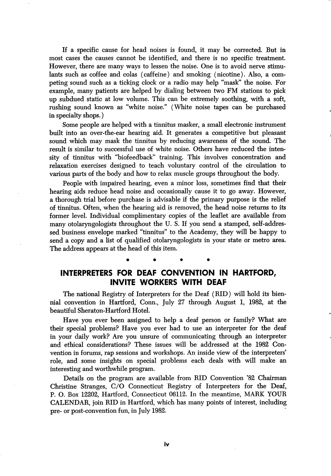If a specific cause for head noises is found, it may be corrected. But in most cases the causes cannot be identified, and there is no specific treatment. However, there are many ways to lessen the noise. One is to avoid nerve stimu lants such as coffee and colas (caffeine) and smoking (nicotine). Also, a com peting sound such as a ticking clock or a radio may help "mask" the noise. For example, many patients are helped by dialing between two FM stations to pick up subdued static at low volume. This can be extremely soothing, with a soft, rushing sound known as "white noise." (White noise tapes can be purchased in specialty shops.)

Some people are helped with a tinnitus masker, a small electronic instrument built into an over-the-ear hearing aid. It generates a competitive but pleasant sound which may mask the tinnitus by reducing awareness of the sound. The result is similar to successful use of white noise. Others have reduced the inten sity of tinnitus with "biofeedback" training. This involves concentration and relaxation exercises designed to teach voluntary control of the circulation to various parts of the body and how to relax muscle groups throughout the body.

People with impaired hearing, even a minor loss, sometimes find that their hearing aids reduce head noise and occasionally cause it to go away. However, a thorough trial before purchase is advisable if the primary purpose is the relief of tinnitus. Often, when the hearing aid is removed, the head noise returns to its former level. Individual complimentary copies of the leaflet are available from many otolaryngologists throughout the U. S. If you send a stamped, self-addres sed business envelope marked "tinnitus" to the Academy, they will be happy to send a copy and a list of qualified otolaryngologists in your state or metro area. The address appears at the head of this item.

## INTERPRETERS FOR DEAF CONVENTION IN HARTFORD, INVITE WORKERS WITH DEAF

The national Registry of Interpreters for the Deaf (RID) will hold its bien nial convention in Hartford, Conn., July 27 through August 1, 1982, at the beautiful Sheraton-Hartford Hotel.

Have you ever been assigned to help a deaf person or family? What are their special problems? Have you ever had to use an interpreter for the deaf in your daily work? Are you unsure of communicating through an interpreter and ethical considerations? These issues will be addressed at the 1982 Con vention in forums, rap sessions and workshops. An inside view of the interpreters' role, and some insights on special problems each deals with will make an interesting and worthwhile program.

Details on the program are available from RID Convention '82 Chairman Christine Stranges, C/O Connecticut Registry of Interpreters for the Deaf, P. O. Box 12202, Hartford, Connecticut 06112. In the meantime, MARK YOUR CALENDAR, join RID in Hartford, which has many points of interest, including pre- or post-convention fun, in July 1982.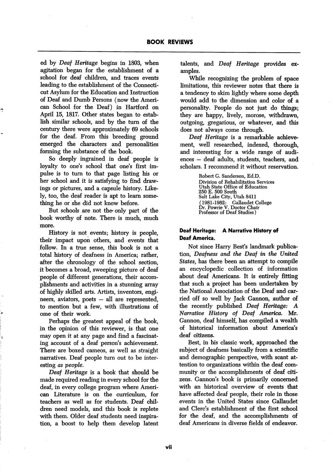ed by Deaf Heritage begins in 1803, when agitation began for the establishment of a school for deaf children, and traces events leading to the establishment of the Connecti cut Asylum for the Education and Instruction of Deaf and Dumb Persons (now the Ameri can School for the Deaf) in Hartford on April 15, 1817. Other states began to estab lish similar schools, and by the turn of the century there were approximately 69 schools for the deaf. From this breeding ground emerged the characters and personalities forming the substance of the book.

So deeply ingrained in deaf people is loyalty to one's school that one's first impulse is to turn to that page listing his or her school and it is satisfying to find draw ings or pictures, and a capsule history. Like ly, too, the deaf reader is apt to leam some thing he or she did not know before.

But schools are not the only part of the book worthy of note. There is much, much more.

History is not events; history is people, their impact upon others, and events that follow. In a true sense, this book is not a total history of deafness in America; rather, after the chronology of the school section, it becomes a broad, sweeping picture of deaf people of different generations, their accom plishments and activities in a stunning array of highly skilled arts. Artists, inventors, engi neers, aviators, poets — all are represented, to mention but a few, with illustrations of ome of their work.

Perhaps the greatest appeal of the book, in the opinion of this reviewer, is that one may open it at any page and find a fascinat ing account of a deaf person's achievement. There are boxed cameos, as well as straight narratives. Deaf people turn out to be inter esting as people.

Deaf Heritage is a book that should be made required reading in every school for the deaf, in every college program where American Literature is on the curriculum, for teachers as well as for students. Deaf chil dren need models, and this book is replete with them. Older deaf students need inspira tion, a boost to help them develop latent talents, and Deaf Heritage provides ex amples.

While recognizing the problem of space limitations, this reviewer notes that there is a tendency to skim lightly where some depth would add to the dimension and color of a personality. People do not just do things; they are happy, lively, morose, withdrawn, outgoing, gregarious, or whatever, and this does not always come through.

Deaf Heritage is a remarkable achieve ment, well researched, indexed, thorough, and interesting for a wide range of audi ences — deaf adults, students, teachers, and scholars. I recommend it without reservation.

> Robert G. Sanderson, Ed.D. Division of Rehabilitation Services Utah State Office of Education 250 E. 500 South Salt Lake City, Utah 8411 (1981-1982: Gallaudet College Dr. Powrie V. Doctor Chair Professor of Deaf Studies)

## Deaf Heritage: A Narrative History of Deaf America.

Not since Harry Best's landmark publica tion, Deafness and the Deaf in the United States, has there been an attempt to compile an encyclopedic collection of information about deaf Americans. It is entirely fitting that such a project has been undertaken by the National Association of the Deaf and car ried off so well by Jack Gannon, author of the recently published Deaf Heritage: A Narrative History of Deaf America. Mr. Gannon, deaf himself, has compiled a wealth of historical information about America's deaf citizens.

Best, in his classic work, approached the subject of deafness basically from a scientific and demographic perspective, with scant at tention to organizations within the deaf com munity or the accomplishments of deaf citi zens. Gannon's book is primarily concerned with an historical overview of events that have affected deaf people, their role in those events in the United States since Gallaudet and Glerc's establishment of the first school for the deaf, and the accomplishments of deaf Americans in diverse fields of endeavor.